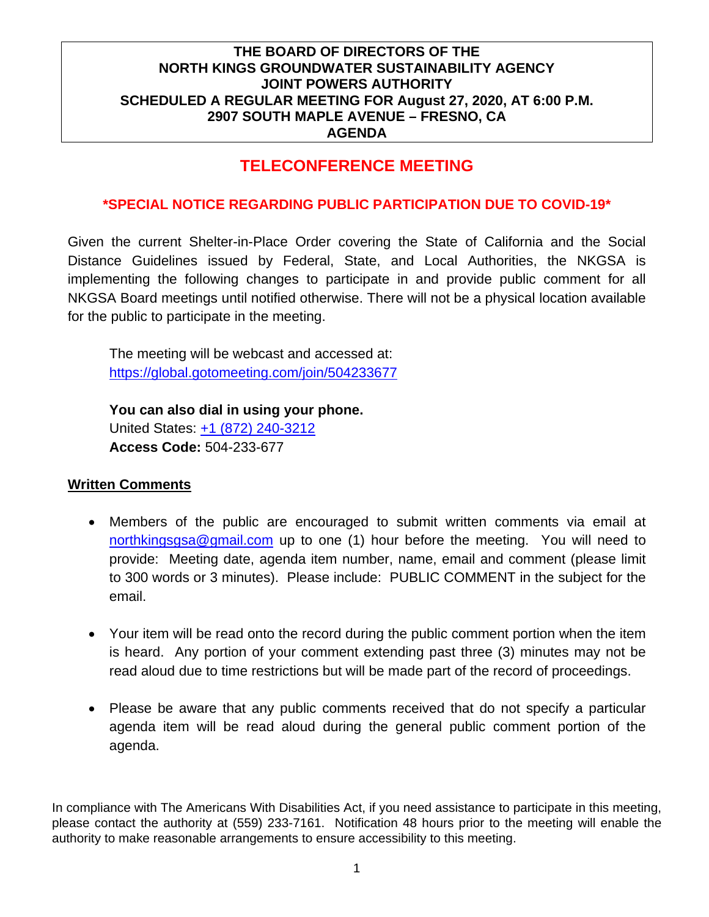## **TELECONFERENCE MEETING**

### **\*SPECIAL NOTICE REGARDING PUBLIC PARTICIPATION DUE TO COVID-19\***

Given the current Shelter-in-Place Order covering the State of California and the Social Distance Guidelines issued by Federal, State, and Local Authorities, the NKGSA is implementing the following changes to participate in and provide public comment for all NKGSA Board meetings until notified otherwise. There will not be a physical location available for the public to participate in the meeting.

The meeting will be webcast and accessed at: https://global.gotomeeting.com/join/504233677

**You can also dial in using your phone.**  United States: +1 (872) 240-3212 **Access Code:** 504-233-677

#### **Written Comments**

- Members of the public are encouraged to submit written comments via email at northkingsgsa@gmail.com up to one (1) hour before the meeting. You will need to provide: Meeting date, agenda item number, name, email and comment (please limit to 300 words or 3 minutes). Please include: PUBLIC COMMENT in the subject for the email.
- Your item will be read onto the record during the public comment portion when the item is heard. Any portion of your comment extending past three (3) minutes may not be read aloud due to time restrictions but will be made part of the record of proceedings.
- Please be aware that any public comments received that do not specify a particular agenda item will be read aloud during the general public comment portion of the agenda.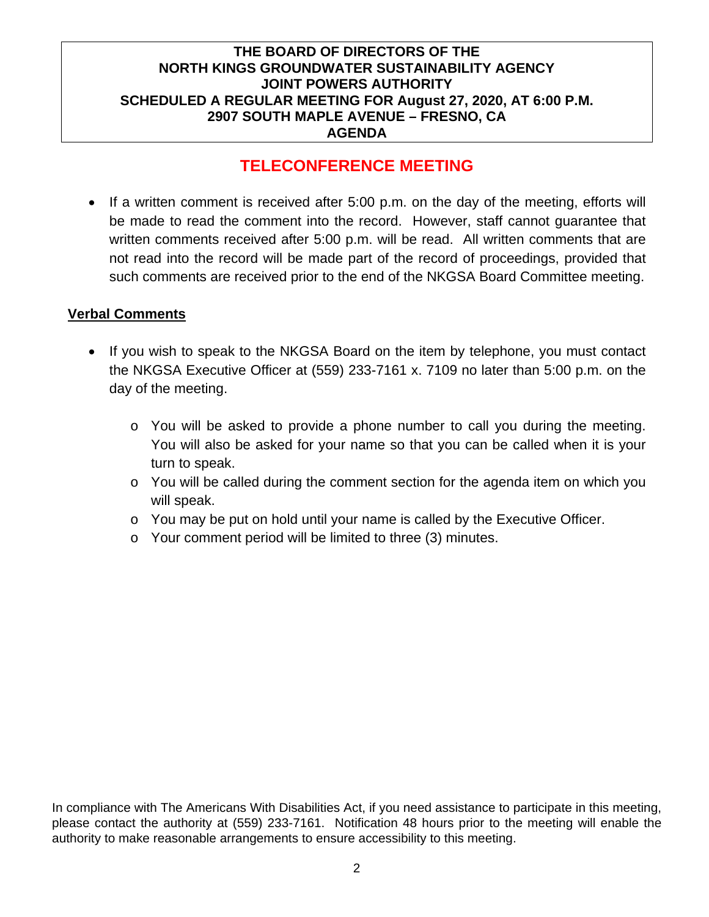## **TELECONFERENCE MEETING**

• If a written comment is received after 5:00 p.m. on the day of the meeting, efforts will be made to read the comment into the record. However, staff cannot guarantee that written comments received after 5:00 p.m. will be read. All written comments that are not read into the record will be made part of the record of proceedings, provided that such comments are received prior to the end of the NKGSA Board Committee meeting.

### **Verbal Comments**

- If you wish to speak to the NKGSA Board on the item by telephone, you must contact the NKGSA Executive Officer at (559) 233-7161 x. 7109 no later than 5:00 p.m. on the day of the meeting.
	- o You will be asked to provide a phone number to call you during the meeting. You will also be asked for your name so that you can be called when it is your turn to speak.
	- $\circ$  You will be called during the comment section for the agenda item on which you will speak.
	- $\circ$  You may be put on hold until your name is called by the Executive Officer.
	- o Your comment period will be limited to three (3) minutes.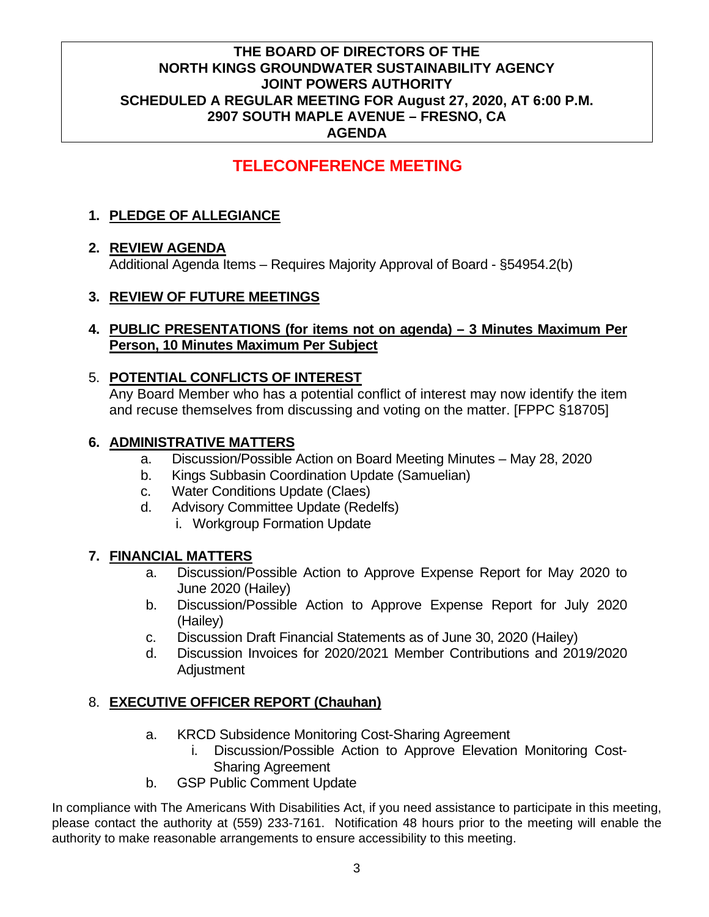# **TELECONFERENCE MEETING**

## **1. PLEDGE OF ALLEGIANCE**

## **2. REVIEW AGENDA**

Additional Agenda Items – Requires Majority Approval of Board - §54954.2(b)

## **3. REVIEW OF FUTURE MEETINGS**

### **4. PUBLIC PRESENTATIONS (for items not on agenda) – 3 Minutes Maximum Per Person, 10 Minutes Maximum Per Subject**

### 5. **POTENTIAL CONFLICTS OF INTEREST**

Any Board Member who has a potential conflict of interest may now identify the item and recuse themselves from discussing and voting on the matter. [FPPC §18705]

### **6. ADMINISTRATIVE MATTERS**

- a. Discussion/Possible Action on Board Meeting Minutes May 28, 2020
- b. Kings Subbasin Coordination Update (Samuelian)
- c. Water Conditions Update (Claes)
- d. Advisory Committee Update (Redelfs)
	- i. Workgroup Formation Update

## **7. FINANCIAL MATTERS**

- a. Discussion/Possible Action to Approve Expense Report for May 2020 to June 2020 (Hailey)
- b. Discussion/Possible Action to Approve Expense Report for July 2020 (Hailey)
- c. Discussion Draft Financial Statements as of June 30, 2020 (Hailey)
- d. Discussion Invoices for 2020/2021 Member Contributions and 2019/2020 **Adjustment**

## 8. **EXECUTIVE OFFICER REPORT (Chauhan)**

- a. KRCD Subsidence Monitoring Cost-Sharing Agreement
	- i. Discussion/Possible Action to Approve Elevation Monitoring Cost-Sharing Agreement
- b. GSP Public Comment Update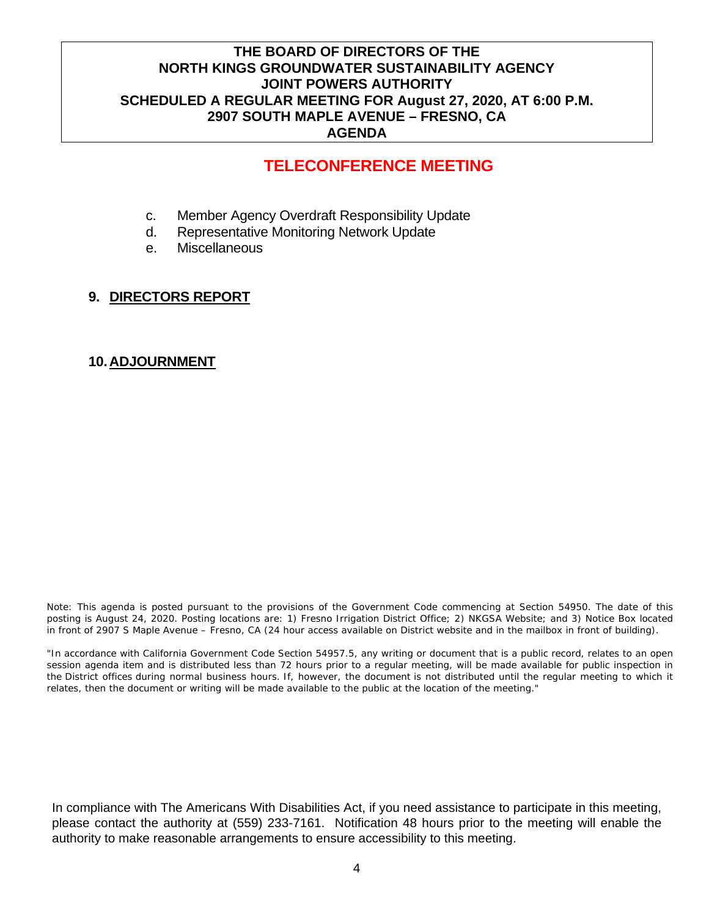# **TELECONFERENCE MEETING**

- c. Member Agency Overdraft Responsibility Update
- d. Representative Monitoring Network Update
- e. Miscellaneous

### **9. DIRECTORS REPORT**

#### **10. ADJOURNMENT**

Note: This agenda is posted pursuant to the provisions of the Government Code commencing at Section 54950. The date of this posting is August 24, 2020. Posting locations are: 1) Fresno Irrigation District Office; 2) NKGSA Website; and 3) Notice Box located in front of 2907 S Maple Avenue – Fresno, CA (24 hour access available on District website and in the mailbox in front of building).

"In accordance with California Government Code Section 54957.5, any writing or document that is a public record, relates to an open session agenda item and is distributed less than 72 hours prior to a regular meeting, will be made available for public inspection in the District offices during normal business hours. If, however, the document is not distributed until the regular meeting to which it relates, then the document or writing will be made available to the public at the location of the meeting."